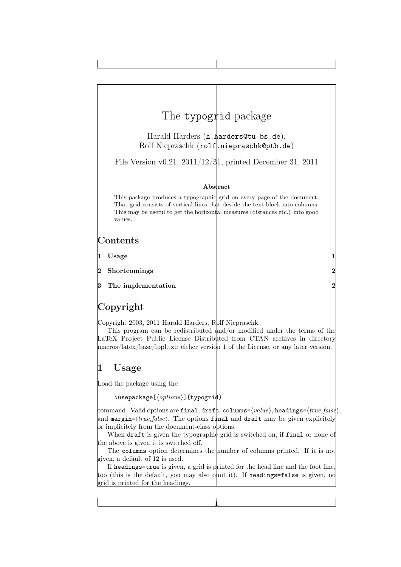

## 1 Usage

Load the package using the

 $\{\text{v}(\text{options})\}$ {typogrid}

command. Valid options are final, draft, columns= $\langle value \rangle$ , headings= $\langle true, false \rangle$ , and margin= $\langle true, false \rangle$ . The options final and draft may be given explicitely or implicitely from the document-class options.

When draft is given the typographic grid is switched on; if final or none of the above is given it is switched off.

The columns option determines the number of columns printed. If it is not given, a default of 12 is used.

If headings= $true$  is given, a grid is printed for the head line and the foot line, too (this is the default, you may also omit it). If headings=false is given, no grid is printed for the headings.

1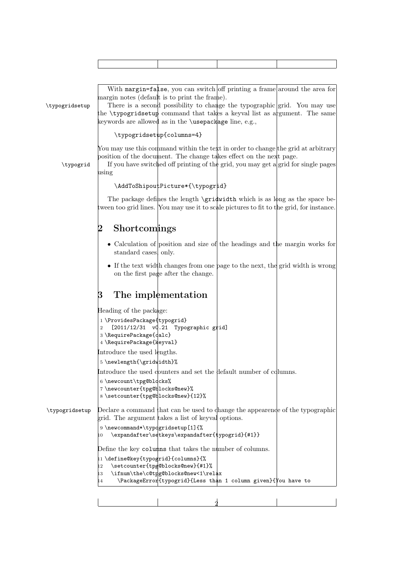| \typogridsetup | With margin=false, you can switch off printing a frame around the area for<br>margin notes (default is to print the frame).<br>There is a second possibility to change the typographic grid. You may use<br>the <b>\typogridsetup</b> command that takes a keyval list as argument. The same<br>keywords are allowed as in the <b>\usepackage</b> line, e.g., |
|----------------|---------------------------------------------------------------------------------------------------------------------------------------------------------------------------------------------------------------------------------------------------------------------------------------------------------------------------------------------------------------|
|                | \typogridsetup{columns=4}                                                                                                                                                                                                                                                                                                                                     |
| \typogrid      | You may use this command within the text in order to change the grid at arbitrary<br>position of the document. The change takes effect on the next page.<br>If you have switched off printing of the grid, you may get a grid for single pages<br>using                                                                                                       |
|                | \AddToShipoutPicture*{\typogrid}                                                                                                                                                                                                                                                                                                                              |
|                | The package defines the length \gridwidth which is as long as the space be-<br>tween too grid lines. You may use it to scale pictures to fit to the grid, for instance.                                                                                                                                                                                       |
|                | Shortcomings<br>2                                                                                                                                                                                                                                                                                                                                             |
|                | • Calculation of position and size of the headings and the margin works for<br>standard cases, only.                                                                                                                                                                                                                                                          |
|                | • If the text width changes from one page to the next, the grid width is wrong<br>on the first page after the change.                                                                                                                                                                                                                                         |
|                | The implementation<br>B                                                                                                                                                                                                                                                                                                                                       |
|                | Heading of the package:<br>1\ProvidesPackage{typogrid}<br>$[2011/12/31 \t v0.21]$<br>Typographic grid]<br>3 \RequirePackage{dalc}<br>4 \RequirePackage{keyval}                                                                                                                                                                                                |
|                | Introduce the used lengths.                                                                                                                                                                                                                                                                                                                                   |
|                | 5 \newlength{\gridwidth}%<br>Introduce the used counters and set the default number of columns.                                                                                                                                                                                                                                                               |
|                | 6 \newcount\tpg@blocks%<br>7\newcounter{tpg@blocks@new}%<br>8 \setcounter{tpg@blocks@new}{12}%                                                                                                                                                                                                                                                                |
| \typogridsetup | Declare a command that can be used to change the appearence of the typographic<br>grid. The argument takes a list of keyval options.                                                                                                                                                                                                                          |
|                | 9 \newcommand*\typqgridsetup[1]{%<br>\expandafter\setkeys\expandafter{typogrid}{#1}}<br>10                                                                                                                                                                                                                                                                    |
|                | Define the key columns that takes the number of columns.                                                                                                                                                                                                                                                                                                      |
|                | 11\define@key{typogrid}{columns}{%<br>\setcounter{tpg@blocks@new}{#1}%<br>12<br>\ifnum\the\c@tpg@blocks@new<1\relax<br>13<br>\PackageError{typogrid}{Less than 1 column given}{\text{\ou have to<br>14                                                                                                                                                        |
|                |                                                                                                                                                                                                                                                                                                                                                               |

Ť

٦

Τ

 $\overline{1}$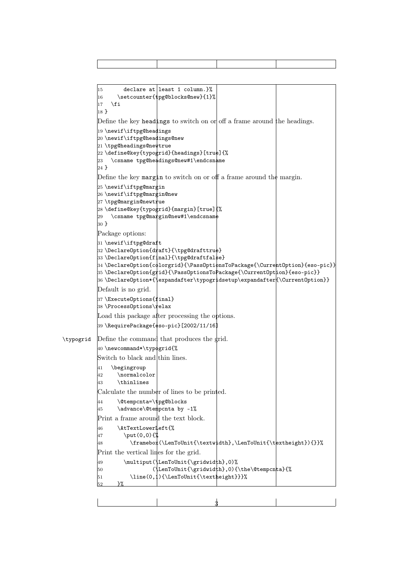```
|15 declare at least 1 column.}%
           |16 \quad \setminus \text{step(2blocks@new}{1}17 \fi
           18 }
           Define the key headings to switch on or off a frame around the headings.
           19 \newif\iftpg@headings
           20 \newif\iftpg@headings@new
           21 \tpg@headings@newtrue
           22 \define@key{typogrid}{headings}[true]{%
           23 \text{csname tpg@headings@new#1\endcsname}24 }
           Define the key margin to switch on or off a frame around the margin.
           25 \newif\iftpg@margin
           26 \newif\iftpg@margin@new
           27 \tpg@margin@newtrue
           28 \define@key{typogrid}{margin}[true]{%
           29 \csname tpg@margin@new#1\endcsname
           30 }
           Package options:
           31\newif\iftpg@draft
           32 \DeclareOption{draft}{\tpg@drafttrue}
           33 \DeclareOption{final}{\tpg@draftfalse}
           \ket{34} \DeclareOption{c\philorgrid}{\PassOpti\phinsToPackage{\Curre\ket{\text{Option}}{eso-pic}}
           35 \DeclareOption{gfid}{\PassOfationSTopackage{\\:urrentOption}{\ses{p:}\}36 \DeclareOption*{\expandafter\typogridsetup\expandafter{\CurrentOption}}
           Default is no grid.
           37 \ExecuteOptions{final}
           38 \ProcessOptions\relax
           Load this package after processing the options.
           \left|39\right\rangleRequirePackage{¢so-pic}[2002/11/16]
\typogrid Define the command that produces the grid.
           40 \newcommand*\typogrid{%
           Switch to black and thin lines.
           41 \begingroup
           42 \normalcolor
           43 \thinlines
           Calculate the number of lines to be printed.
           \ket{44} \@tempcnta=\tpg@blocks
           45 \advance\@tempcnta by -1%
           Print a frame around the text block.
           46 \AtTextLowerLeft{%
           47 \put(0,0){%
           48 \framebox(\LenToUnit{\textwidth},\LenToUnit{\textheight}){}}%
           Print the vertical lines for the grid.
           \downarrow49 \multiput(\LenToUnit{\gridwidth},0)%
           50 (\LenToUnit{\gridwidth},0){\the\@tempcnta}{%
           51 \line(0,1){\LenToUnit{\textheight}}}%
           52 \frac{\cancel{10}}{2}
```
3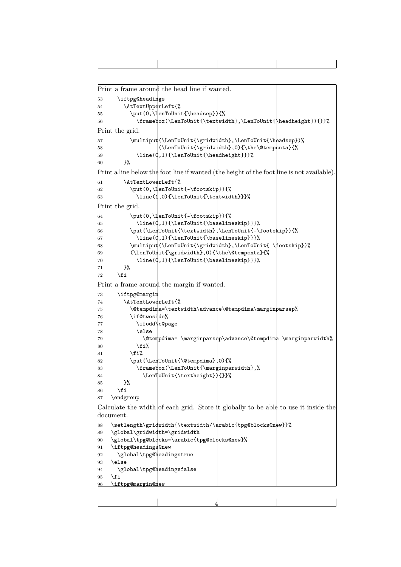```
Print a frame around the head line if wanted.
53 \iftpg@headings
54 \AtTextUpperLeft{%
55 \put(0,\LenToUnit{\headsep}){%
56 \framebox(\LenToUnit{\textwidth},\LenToUnit{\headheight}){}}%
Print the grid.
57 \multiput(\LenToUnit{\gridwidth},\LenToUnit{\headsep})%
58 (\LenToUnit{\gridwidth},0){\the\@tempcnta}{%
59 \line(0,1){\LenToUnit{\headheight}}}%
60 }%
Print a line below the foot line if wanted (the height of the foot line is not available).
\begin{array}{ll} \text{61} & \text{After 1} \ \text{62} & \text{but (0, \text{IenTolmi})} \end{array}\put(0,\LenToUnit{-\footskip}){%
\frac{1}{0} \line(1,0){\LenToUnit{\textwidth}}}%
Print the grid.
_{64} \put(0,\LenToUnit{-\footskip}){%
\beta5 \line(0,1){\LenToUnit{\baselineskip}}}%
66 \put(\LenToUnit{\textwidth},\LenToUnit{-\footskip}){%
67 \line(0,1){\LenToUnit{\baselineskip}}}%
68 \multiput(\LenToUnit{\gridwidth},\LenToUnit{-\footskip})%
69 (\LenToUnit{\gridwidth},0){\the\@tempcnta}{%
70 \line(0,1){\LenToUnit{\baselineskip}}}%
71 }%
\frac{1}{2} \fi
Print a frame around the margin if wanted.
73 \iftpg@margin
74 \AtTextLowerLeft{%
75 \@tempdima=\textwidth\advance\@tempdima\marginparsep%
76 \if@twoside%
            \ifodd\c@page
            \text{else}79 \@tempdima=-\marginparsep\advance\@tempdima-\marginparwidth%
80 \overline{\phantom{a}} \81 \overline{\phantom{0}} \\put(\LenToUnit{\@tempdima},0){%
83 \framebox(\LenToUnit{\marginparwidth},%
84 \LenToUnit{\textheight}){}}%
85 }%
86 \fi
87 \endgroup
Calculate the width of each grid. Store it globally to be able to use it inside the
document.
88 \setlength\gridwidth{\textwidth/\arabic{tpg@blocks@new}}%
89 \global\gridwidth=\gridwidth
90 \global\tpg@blocks=\arabic{tpg@blocks@new}%
91 \iftpg@headings@new
\flat2 \global\tpg@headingstrue
93 \lambdaelse
\theta_94 \global\tpg@headingsfalse
h_5 \fi
96 \iftpg@margin@new
```
4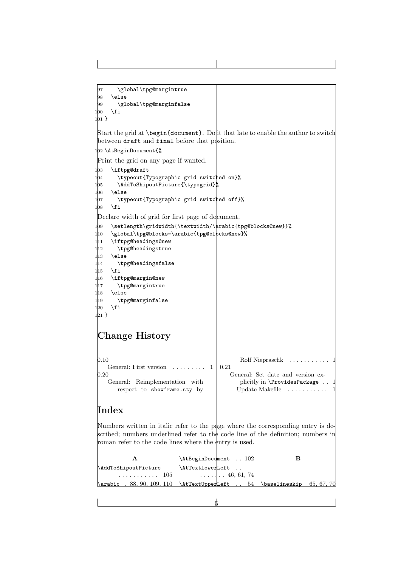| 97<br>\global\tpg@margintrue                                     |                                                                                                                                                                                                                                                                                                                                                                                                                                                                                               |   |
|------------------------------------------------------------------|-----------------------------------------------------------------------------------------------------------------------------------------------------------------------------------------------------------------------------------------------------------------------------------------------------------------------------------------------------------------------------------------------------------------------------------------------------------------------------------------------|---|
| 98<br>\else                                                      |                                                                                                                                                                                                                                                                                                                                                                                                                                                                                               |   |
| \global\tpg@marginfalse<br>99                                    |                                                                                                                                                                                                                                                                                                                                                                                                                                                                                               |   |
| \fi<br>100                                                       |                                                                                                                                                                                                                                                                                                                                                                                                                                                                                               |   |
| $101 \}$                                                         |                                                                                                                                                                                                                                                                                                                                                                                                                                                                                               |   |
|                                                                  | Start the grid at $\begin{cases} \begin{array}{c} \Delta \end{array} \\ \begin{array}{c} \Delta \end{array} \end{cases}$ at $\Delta \begin{cases} \Delta \end{cases}$ and $\Delta \begin{cases} \Delta \end{cases}$ and $\Delta \begin{cases} \Delta \end{cases}$ and $\Delta \begin{cases} \Delta \end{cases}$ and $\Delta \begin{cases} \Delta \end{cases}$ and $\Delta \begin{cases} \Delta \end{cases}$ and $\Delta \begin{cases} \Delta \end{cases}$ and $\Delta \begin{cases} \Delta \$ |   |
| between draft and final before that position.                    |                                                                                                                                                                                                                                                                                                                                                                                                                                                                                               |   |
|                                                                  |                                                                                                                                                                                                                                                                                                                                                                                                                                                                                               |   |
| $102$ \AtBeginDocument{%                                         |                                                                                                                                                                                                                                                                                                                                                                                                                                                                                               |   |
| Print the grid on any page if wanted.                            |                                                                                                                                                                                                                                                                                                                                                                                                                                                                                               |   |
| 1 <sub>03</sub><br>\iftpg@draft                                  |                                                                                                                                                                                                                                                                                                                                                                                                                                                                                               |   |
| 104<br>\typeout{Typographic grid switched on}%                   |                                                                                                                                                                                                                                                                                                                                                                                                                                                                                               |   |
| \AddToShipoutPicture{\typogrid}%<br>105                          |                                                                                                                                                                                                                                                                                                                                                                                                                                                                                               |   |
| \else<br>106                                                     |                                                                                                                                                                                                                                                                                                                                                                                                                                                                                               |   |
| \typeout{Typographic grid switched off}%<br>107                  |                                                                                                                                                                                                                                                                                                                                                                                                                                                                                               |   |
| 108<br>\fi                                                       |                                                                                                                                                                                                                                                                                                                                                                                                                                                                                               |   |
| Declare width of grid for first page of document.                |                                                                                                                                                                                                                                                                                                                                                                                                                                                                                               |   |
| \setlength\gridwidth{\textwidth/\arabic{tpg@blocks@new}}%<br>109 |                                                                                                                                                                                                                                                                                                                                                                                                                                                                                               |   |
| 110<br>\global\tpg@blocks=\arabic{tpg@blocks@new}%               |                                                                                                                                                                                                                                                                                                                                                                                                                                                                                               |   |
| \iftpg@heading\$@new<br>111                                      |                                                                                                                                                                                                                                                                                                                                                                                                                                                                                               |   |
| \tpg@heading\$true<br>112                                        |                                                                                                                                                                                                                                                                                                                                                                                                                                                                                               |   |
| 113<br>\else                                                     |                                                                                                                                                                                                                                                                                                                                                                                                                                                                                               |   |
| \tpg@heading\$false<br>114                                       |                                                                                                                                                                                                                                                                                                                                                                                                                                                                                               |   |
| 115<br>\fi                                                       |                                                                                                                                                                                                                                                                                                                                                                                                                                                                                               |   |
| 116<br>\iftpg@margin@mew                                         |                                                                                                                                                                                                                                                                                                                                                                                                                                                                                               |   |
| \tpg@margintrue<br>117                                           |                                                                                                                                                                                                                                                                                                                                                                                                                                                                                               |   |
| \else<br>118                                                     |                                                                                                                                                                                                                                                                                                                                                                                                                                                                                               |   |
| \tpg@marginfalse<br>119                                          |                                                                                                                                                                                                                                                                                                                                                                                                                                                                                               |   |
| \fi<br>120                                                       |                                                                                                                                                                                                                                                                                                                                                                                                                                                                                               |   |
| $121$ }                                                          |                                                                                                                                                                                                                                                                                                                                                                                                                                                                                               |   |
|                                                                  |                                                                                                                                                                                                                                                                                                                                                                                                                                                                                               |   |
|                                                                  |                                                                                                                                                                                                                                                                                                                                                                                                                                                                                               |   |
| Change History                                                   |                                                                                                                                                                                                                                                                                                                                                                                                                                                                                               |   |
|                                                                  |                                                                                                                                                                                                                                                                                                                                                                                                                                                                                               |   |
|                                                                  |                                                                                                                                                                                                                                                                                                                                                                                                                                                                                               |   |
| $0.10\,$                                                         | Rolf Niepraschk                                                                                                                                                                                                                                                                                                                                                                                                                                                                               |   |
| General: First verstion                                          | 0.21<br>1                                                                                                                                                                                                                                                                                                                                                                                                                                                                                     |   |
| $\rm 0.20$                                                       | General: Set date and version ex-                                                                                                                                                                                                                                                                                                                                                                                                                                                             |   |
| General: Reimplementation with                                   | plicitly in $\Pr$ ovidesPackage                                                                                                                                                                                                                                                                                                                                                                                                                                                               |   |
| respect to showframe.sty by                                      | Update Makefile                                                                                                                                                                                                                                                                                                                                                                                                                                                                               | 1 |
|                                                                  |                                                                                                                                                                                                                                                                                                                                                                                                                                                                                               |   |
|                                                                  |                                                                                                                                                                                                                                                                                                                                                                                                                                                                                               |   |
| ${\rm Index}$                                                    |                                                                                                                                                                                                                                                                                                                                                                                                                                                                                               |   |
|                                                                  |                                                                                                                                                                                                                                                                                                                                                                                                                                                                                               |   |

Numbers written in italic refer to the page where the corresponding entry is described; numbers underlined refer to the code line of the definition; numbers in roman refer to the code lines where the entry is used.

|                     |                                                                                            | \AtBeginDocument  102 |            |
|---------------------|--------------------------------------------------------------------------------------------|-----------------------|------------|
| AddToShipoutPicture | \AtTextLowerLeft                                                                           |                       |            |
|                     | $\cdots \cdots \cdots \hspace{1.5cm} 105$ $\cdots \cdots \cdots \hspace{1.5cm} 46, 61, 74$ |                       |            |
| \arabic .           | 109,110 \AtTextUpperLeft  54 \baselineskip                                                 |                       | 65, 67, 70 |
|                     |                                                                                            |                       |            |

 $\frac{1}{2}$